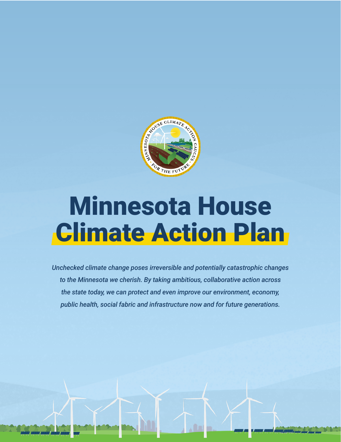

# Minnesota House **Climate Action Plan**

*Unchecked climate change poses irreversible and potentially catastrophic changes to the Minnesota we cherish. By taking ambitious, collaborative action across the state today, we can protect and even improve our environment, economy, public health, social fabric and infrastructure now and for future generations.*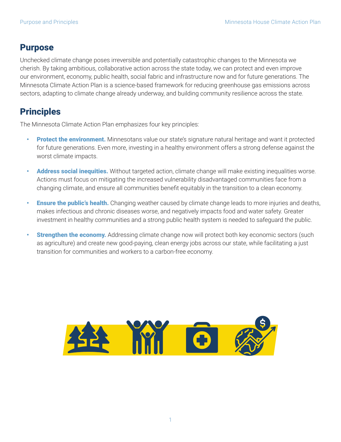## Purpose

Unchecked climate change poses irreversible and potentially catastrophic changes to the Minnesota we cherish. By taking ambitious, collaborative action across the state today, we can protect and even improve our environment, economy, public health, social fabric and infrastructure now and for future generations. The Minnesota Climate Action Plan is a science-based framework for reducing greenhouse gas emissions across sectors, adapting to climate change already underway, and building community resilience across the state.

## **Principles**

The Minnesota Climate Action Plan emphasizes four key principles:

- **Protect the environment.** Minnesotans value our state's signature natural heritage and want it protected for future generations. Even more, investing in a healthy environment offers a strong defense against the worst climate impacts.
- Address social inequities. Without targeted action, climate change will make existing inequalities worse. Actions must focus on mitigating the increased vulnerability disadvantaged communities face from a changing climate, and ensure all communities benefit equitably in the transition to a clean economy.
- **Ensure the public's health.** Changing weather caused by climate change leads to more injuries and deaths, makes infectious and chronic diseases worse, and negatively impacts food and water safety. Greater investment in healthy communities and a strong public health system is needed to safeguard the public.
- **Strengthen the economy.** Addressing climate change now will protect both key economic sectors (such as agriculture) and create new good-paying, clean energy jobs across our state, while facilitating a just transition for communities and workers to a carbon-free economy.

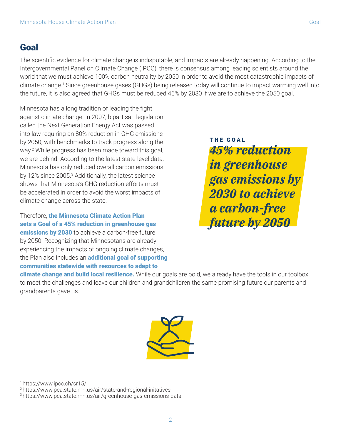### Goal

The scientific evidence for climate change is indisputable, and impacts are already happening. According to the Intergovernmental Panel on Climate Change (IPCC), there is consensus among leading scientists around the world that we must achieve 100% carbon neutrality by 2050 in order to avoid the most catastrophic impacts of climate change.1 Since greenhouse gases (GHGs) being released today will continue to impact warming well into the future, it is also agreed that GHGs must be reduced 45% by 2030 if we are to achieve the 2050 goal.

Minnesota has a long tradition of leading the fight against climate change. In 2007, bipartisan legislation called the Next Generation Energy Act was passed into law requiring an 80% reduction in GHG emissions by 2050, with benchmarks to track progress along the way.2 While progress has been made toward this goal, we are behind. According to the latest state-level data, Minnesota has only reduced overall carbon emissions by 12% since 2005.<sup>3</sup> Additionally, the latest science shows that Minnesota's GHG reduction efforts must be accelerated in order to avoid the worst impacts of climate change across the state.

Therefore, the Minnesota Climate Action Plan sets a Goal of a 45% reduction in greenhouse gas **emissions by 2030** to achieve a carbon-free future by 2050. Recognizing that Minnesotans are already experiencing the impacts of ongoing climate changes, the Plan also includes an **additional goal of supporting** communities statewide with resources to adapt to

*45% reduction in greenhouse gas emissions by 2030 to achieve a carbon-free future by 2050* THE GOAL

climate change and build local resilience. While our goals are bold, we already have the tools in our toolbox to meet the challenges and leave our children and grandchildren the same promising future our parents and grandparents gave us.



1 https://www.ipcc.ch/sr15/

2 https://www.pca.state.mn.us/air/state-and-regional-initatives

<sup>3</sup> https://www.pca.state.mn.us/air/greenhouse-gas-emissions-data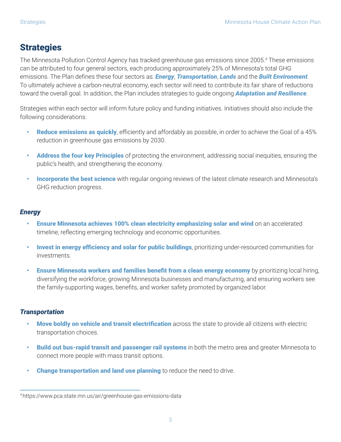## **Strategies**

The Minnesota Pollution Control Agency has tracked greenhouse gas emissions since 2005.4 These emissions can be attributed to four general sectors, each producing approximately 25% of Minnesota's total GHG emissions. The Plan defines these four sectors as: *Energy*, *Transportation*, *Lands* and the *Built Environment*. To ultimately achieve a carbon-neutral economy, each sector will need to contribute its fair share of reductions toward the overall goal. In addition, the Plan includes strategies to guide ongoing *Adaptation and Resilience*.

Strategies within each sector will inform future policy and funding initiatives. Initiatives should also include the following considerations:

- Reduce emissions as quickly, efficiently and affordably as possible, in order to achieve the Goal of a 45% reduction in greenhouse gas emissions by 2030.
- **Address the four key Principles** of protecting the environment, addressing social inequities, ensuring the public's health, and strengthening the economy.
- **Incorporate the best science** with regular ongoing reviews of the latest climate research and Minnesota's GHG reduction progress.

#### *Energy*

- Ensure Minnesota achieves 100% clean electricity emphasizing solar and wind on an accelerated timeline, reflecting emerging technology and economic opportunities.
- **Invest in energy efficiency and solar for public buildings**, prioritizing under-resourced communities for investments.
- **Ensure Minnesota workers and families benefit from a clean energy economy** by prioritizing local hiring, diversifying the workforce, growing Minnesota businesses and manufacturing, and ensuring workers see the family-supporting wages, benefits, and worker safety promoted by organized labor.

#### *Transportation*

- **Move boldly on vehicle and transit electrification** across the state to provide all citizens with electric transportation choices.
- **Build out bus-rapid transit and passenger rail systems** in both the metro area and greater Minnesota to connect more people with mass transit options.
- **Change transportation and land use planning** to reduce the need to drive.

<sup>4</sup> https://www.pca.state.mn.us/air/greenhouse-gas-emissions-data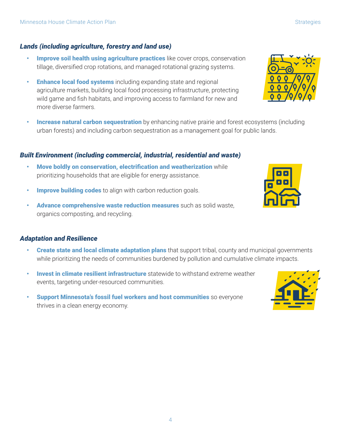4

#### *Lands (including agriculture, forestry and land use)*

- Improve soil health using agriculture practices like cover crops, conservation tillage, diversified crop rotations, and managed rotational grazing systems.
- **Enhance local food systems** including expanding state and regional agriculture markets, building local food processing infrastructure, protecting wild game and fish habitats, and improving access to farmland for new and more diverse farmers.
- **Increase natural carbon sequestration** by enhancing native prairie and forest ecosystems (including urban forests) and including carbon sequestration as a management goal for public lands.

#### *Built Environment (including commercial, industrial, residential and waste)*

- Move boldly on conservation, electrification and weatherization while prioritizing households that are eligible for energy assistance.
- **Improve building codes** to align with carbon reduction goals.
- Advance comprehensive waste reduction measures such as solid waste, organics composting, and recycling.

#### *Adaptation and Resilience*

- **Create state and local climate adaptation plans** that support tribal, county and municipal governments while prioritizing the needs of communities burdened by pollution and cumulative climate impacts.
- **Invest in climate resilient infrastructure** statewide to withstand extreme weather events, targeting under-resourced communities.
- **Support Minnesota's fossil fuel workers and host communities** so everyone thrives in a clean energy economy.